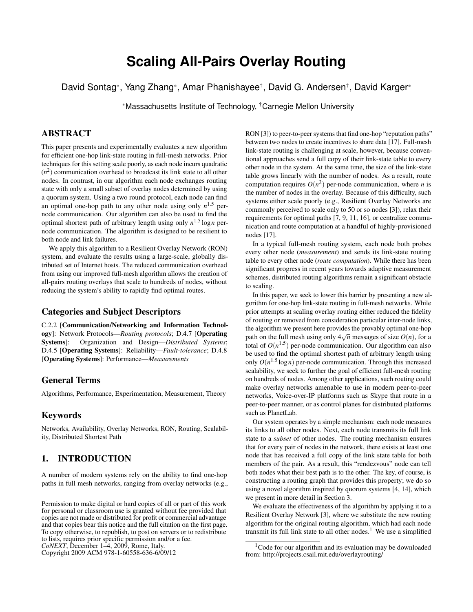# **Scaling All-Pairs Overlay Routing**

David Sontag\*, Yang Zhang\*, Amar Phanishayee†, David G. Andersen†, David Karger\*

<sup>∗</sup>Massachusetts Institute of Technology, †Carnegie Mellon University

# ABSTRACT

This paper presents and experimentally evaluates a new algorithm for efficient one-hop link-state routing in full-mesh networks. Prior techniques for this setting scale poorly, as each node incurs quadratic  $(n<sup>2</sup>)$  communication overhead to broadcast its link state to all other nodes. In contrast, in our algorithm each node exchanges routing state with only a small subset of overlay nodes determined by using a quorum system. Using a two round protocol, each node can find an optimal one-hop path to any other node using only  $n^{1.5}$  pernode communication. Our algorithm can also be used to find the optimal shortest path of arbitrary length using only *n* 1.5 log*n* pernode communication. The algorithm is designed to be resilient to both node and link failures.

We apply this algorithm to a Resilient Overlay Network (RON) system, and evaluate the results using a large-scale, globally distributed set of Internet hosts. The reduced communication overhead from using our improved full-mesh algorithm allows the creation of all-pairs routing overlays that scale to hundreds of nodes, without reducing the system's ability to rapidly find optimal routes.

#### Categories and Subject Descriptors

C.2.2 [Communication/Networking and Information Technology]: Network Protocols—*Routing protocols*; D.4.7 [Operating Systems]: Organization and Design—*Distributed Systems*; D.4.5 [Operating Systems]: Reliability—*Fault-tolerance*; D.4.8 [Operating Systems]: Performance—*Measurements*

# General Terms

Algorithms, Performance, Experimentation, Measurement, Theory

#### Keywords

Networks, Availability, Overlay Networks, RON, Routing, Scalability, Distributed Shortest Path

# 1. INTRODUCTION

A number of modern systems rely on the ability to find one-hop paths in full mesh networks, ranging from overlay networks (e.g.,

Copyright 2009 ACM 978-1-60558-636-6/09/12

RON [\[3\]](#page-10-0)) to peer-to-peer systems that find one-hop "reputation paths" between two nodes to create incentives to share data [\[17\]](#page-11-0). Full-mesh link-state routing is challenging at scale, however, because conventional approaches send a full copy of their link-state table to every other node in the system. At the same time, the size of the link-state table grows linearly with the number of nodes. As a result, route computation requires  $O(n^2)$  per-node communication, where *n* is the number of nodes in the overlay. Because of this difficulty, such systems either scale poorly (e.g., Resilient Overlay Networks are commonly perceived to scale only to 50 or so nodes [\[3\]](#page-10-0)), relax their requirements for optimal paths [\[7,](#page-10-1) [9,](#page-11-1) [11,](#page-11-2) [16\]](#page-11-3), or centralize communication and route computation at a handful of highly-provisioned nodes [\[17\]](#page-11-0).

In a typical full-mesh routing system, each node both probes every other node (*measurement*) and sends its link-state routing table to every other node (*route computation*). While there has been significant progress in recent years towards adaptive measurement schemes, distributed routing algorithms remain a significant obstacle to scaling.

In this paper, we seek to lower this barrier by presenting a new algorithm for one-hop link-state routing in full-mesh networks. While prior attempts at scaling overlay routing either reduced the fidelity of routing or removed from consideration particular inter-node links, the algorithm we present here provides the provably optimal one-hop path on the full mesh using only  $4\sqrt{n}$  messages of size  $O(n)$ , for a total of  $O(n^{1.5})$  per-node communication. Our algorithm can also be used to find the optimal shortest path of arbitrary length using only  $O(n^{1.5} \log n)$  per-node communication. Through this increased scalability, we seek to further the goal of efficient full-mesh routing on hundreds of nodes. Among other applications, such routing could make overlay networks amenable to use in modern peer-to-peer networks, Voice-over-IP platforms such as Skype that route in a peer-to-peer manner, or as control planes for distributed platforms such as PlanetLab.

Our system operates by a simple mechanism: each node measures its links to all other nodes. Next, each node transmits its full link state to a *subset* of other nodes. The routing mechanism ensures that for every pair of nodes in the network, there exists at least one node that has received a full copy of the link state table for both members of the pair. As a result, this "rendezvous" node can tell both nodes what their best path is to the other. The key, of course, is constructing a routing graph that provides this property; we do so using a novel algorithm inspired by quorum systems [\[4,](#page-10-2) [14\]](#page-11-4), which we present in more detail in Section [3.](#page-2-0)

We evaluate the effectiveness of the algorithm by applying it to a Resilient Overlay Network [\[3\]](#page-10-0), where we substitute the new routing algorithm for the original routing algorithm, which had each node transmit its full link state to all other nodes.<sup>[1](#page-0-0)</sup> We use a simplified

Permission to make digital or hard copies of all or part of this work for personal or classroom use is granted without fee provided that copies are not made or distributed for profit or commercial advantage and that copies bear this notice and the full citation on the first page. To copy otherwise, to republish, to post on servers or to redistribute to lists, requires prior specific permission and/or a fee. *CoNEXT*, December 1–4, 2009, Rome, Italy.

<span id="page-0-0"></span><sup>&</sup>lt;sup>1</sup>Code for our algorithm and its evaluation may be downloaded from: http://projects.csail.mit.edu/overlayrouting/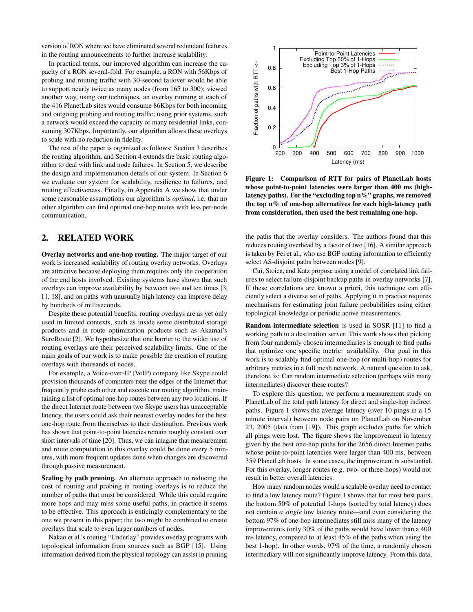version of RON where we have eliminated several redundant features in the routing announcements to further increase scalability.

In practical terms, our improved algorithm can increase the capacity of a RON several-fold. For example, a RON with 56Kbps of probing and routing traffic with 30-second failover would be able to support nearly twice as many nodes (from 165 to 300); viewed another way, using our techniques, an overlay running at each of the 416 PlanetLab sites would consume 86Kbps for both incoming and outgoing probing and routing traffic; using prior systems, such a network would exceed the capacity of many residential links, consuming 307Kbps. Importantly, our algorithm allows these overlays to scale with no reduction in fidelity.

The rest of the paper is organized as follows: Section [3](#page-2-0) describes the routing algorithm, and Section [4](#page-3-0) extends the basic routing algorithm to deal with link and node failures. In Section [5,](#page-6-0) we describe the design and implementation details of our system. In Section [6](#page-7-0) we evaluate our system for scalability, resilience to failures, and routing effectiveness. Finally, in Appendix [A](#page-10-3) we show that under some reasonable assumptions our algorithm is *optimal*, i.e. that no other algorithm can find optimal one-hop routes with less per-node communication.

# <span id="page-1-1"></span>2. RELATED WORK

Overlay networks and one-hop routing. The major target of our work is increased scalability of routing overlay networks. Overlays are attractive because deploying them requires only the cooperation of the end hosts involved. Existing systems have shown that such overlays can improve availability by between two and ten times [\[3,](#page-10-0) [11,](#page-11-2) [18\]](#page-11-5), and on paths with unusually high latency can improve delay by hundreds of milliseconds.

Despite these potential benefits, routing overlays are as yet only used in limited contexts, such as inside some distributed storage products and in route optimization products such as Akamai's SureRoute [\[2\]](#page-10-4). We hypothesize that one barrier to the wider use of routing overlays are their perceived scalability limits. One of the main goals of our work is to make possible the creation of routing overlays with thousands of nodes.

For example, a Voice-over-IP (VoIP) company like Skype could provision thousands of computers near the edges of the Internet that frequently probe each other and execute our routing algorithm, maintaining a list of optimal one-hop routes between any two locations. If the direct Internet route between two Skype users has unacceptable latency, the users could ask their nearest overlay nodes for the best one-hop route from themselves to their destination. Previous work has shown that point-to-point latencies remain roughly constant over short intervals of time [\[20\]](#page-11-6). Thus, we can imagine that measurement and route computation in this overlay could be done every 5 minutes, with more frequent updates done when changes are discovered through passive measurement.

Scaling by path pruning. An alternate approach to reducing the cost of routing and probing in routing overlays is to reduce the number of paths that must be considered. While this could require more hops and may miss some useful paths, in practice it seems to be effective. This approach is enticingly complementary to the one we present in this paper; the two might be combined to create overlays that scale to even larger numbers of nodes.

Nakao et al.'s routing "Underlay" provides overlay programs with topological information from sources such as BGP [\[15\]](#page-11-7). Using information derived from the physical topology can assist in pruning



<span id="page-1-0"></span>Figure 1: Comparison of RTT for pairs of PlanetLab hosts whose point-to-point latencies were larger than 400 ms (highlatency paths). For the "excluding top n%" graphs, we removed the top n% of one-hop alternatives for each high-latency path from consideration, then used the best remaining one-hop.

the paths that the overlay considers. The authors found that this reduces routing overhead by a factor of two [\[16\]](#page-11-3). A similar approach is taken by Fei et al., who use BGP routing information to efficiently select AS-disjoint paths between nodes [\[9\]](#page-11-1).

Cui, Stoica, and Katz propose using a model of correlated link failures to select failure-disjoint backup paths in overlay networks [\[7\]](#page-10-1). If these correlations are known a priori, this technique can efficiently select a diverse set of paths. Applying it in practice requires mechanisms for estimating joint failure probabilities using either topological knowledge or periodic active measurements.

Random intermediate selection is used in SOSR [\[11\]](#page-11-2) to find a working path to a destination server. This work shows that picking from four randomly chosen intermediaries is enough to find paths that optimize one specific metric: availability. Our goal in this work is to scalably find optimal one-hop (or multi-hop) routes for arbitrary metrics in a full mesh network. A natural question to ask, therefore, is: Can random intermediate selection (perhaps with many intermediates) discover these routes?

To explore this question, we perform a measurement study on PlanetLab of the total path latency for direct and single-hop indirect paths. Figure [1](#page-1-0) shows the average latency (over 10 pings in a 15 minute interval) between node pairs on PlanetLab on November 23, 2005 (data from [\[19\]](#page-11-8)). This graph excludes paths for which all pings were lost. The figure shows the improvement in latency given by the best one-hop paths for the 2656 direct Internet paths whose point-to-point latencies were larger than 400 ms, between 359 PlanetLab hosts. In some cases, the improvement is substantial. For this overlay, longer routes (e.g. two- or three-hops) would not result in better overall latencies.

How many random nodes would a scalable overlay need to contact to find a low latency route? Figure [1](#page-1-0) shows that for most host pairs, the bottom 50% of potential 1-hops (sorted by total latency) does not contain *a single* low latency route—and even considering the bottom 97% of one-hop intermediates still miss many of the latency improvements (only 30% of the paths would have lower than a 400 ms latency, compared to at least 45% of the paths when using the best 1-hop). In other words, 97% of the time, a randomly chosen intermediary will not significantly improve latency. From this data,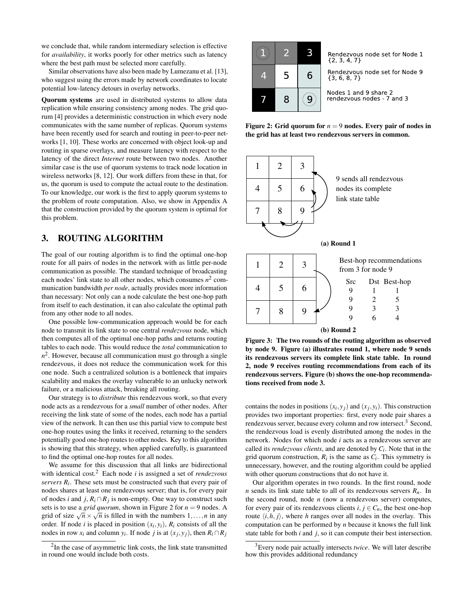we conclude that, while random intermediary selection is effective for *availability*, it works poorly for other metrics such as latency where the best path must be selected more carefully.

Similar observations have also been made by Lumezanu et al. [\[13\]](#page-11-9), who suggest using the errors made by network coordinates to locate potential low-latency detours in overlay networks.

Quorum systems are used in distributed systems to allow data replication while ensuring consistency among nodes. The grid quorum [\[4\]](#page-10-2) provides a deterministic construction in which every node communicates with the same number of replicas. Quorum systems have been recently used for search and routing in peer-to-peer networks [\[1,](#page-10-5) [10\]](#page-11-10). These works are concerned with object look-up and routing in sparse overlays, and measure latency with respect to the latency of the direct *Internet* route between two nodes. Another similar case is the use of quorum systems to track node location in wireless networks [\[8,](#page-10-6) [12\]](#page-11-11). Our work differs from these in that, for us, the quorum is used to compute the actual route to the destination. To our knowledge, our work is the first to apply quorum systems to the problem of route computation. Also, we show in Appendix [A](#page-10-3) that the construction provided by the quorum system is optimal for this problem.

# <span id="page-2-0"></span>3. ROUTING ALGORITHM

The goal of our routing algorithm is to find the optimal one-hop route for all pairs of nodes in the network with as little per-node communication as possible. The standard technique of broadcasting each nodes' link state to all other nodes, which consumes  $n^2$  communication bandwidth *per node*, actually provides more information than necessary: Not only can a node calculate the best one-hop path from itself to each destination, it can also calculate the optimal path from any other node to all nodes.

One possible low-communication approach would be for each node to transmit its link state to one central *rendezvous* node, which then computes all of the optimal one-hop paths and returns routing tables to each node. This would reduce the *total* communication to  $n<sup>2</sup>$ . However, because all communication must go through a single rendezvous, it does not reduce the communication work for this one node. Such a centralized solution is a bottleneck that impairs scalability and makes the overlay vulnerable to an unlucky network failure, or a malicious attack, breaking all routing.

Our strategy is to *distribute* this rendezvous work, so that every node acts as a rendezvous for a *small* number of other nodes. After receiving the link state of some of the nodes, each node has a partial view of the network. It can then use this partial view to compute best one-hop routes using the links it received, returning to the senders potentially good one-hop routes to other nodes. Key to this algorithm is showing that this strategy, when applied carefully, is guaranteed to find the optimal one-hop routes for all nodes.

We assume for this discussion that all links are bidirectional with identical cost.[2](#page-2-1) Each node *i* is assigned a set of *rendezvous servers R<sup>i</sup>* . These sets must be constructed such that every pair of nodes shares at least one rendezvous server; that is, for every pair of nodes *i* and *j*,  $R_i \cap R_j$  is non-empty. One way to construct such sets is to use a *grid quorum*, shown in Figure [2](#page-2-2) for *n* = 9 nodes. A grid of size  $\sqrt{n} \times \sqrt{n}$  is filled in with the numbers  $1, \ldots, n$  in any order. If node *i* is placed in position  $(x_i, y_i)$ ,  $R_i$  consists of all the nodes in row  $x_i$  and column  $y_i$ . If node *j* is at  $(x_j, y_j)$ , then  $R_i \cap R_j$ 

<span id="page-2-1"></span>



Rendezvous node set for Node 1  ${2, 3, 4, 7}$ 

Rendezvous node set for Node 9<br>{3, 6, 8, 7}

<span id="page-2-2"></span>Nodes 1 and 9 share 2 rendezvous nodes - 7 and 3

Figure 2: Grid quorum for  $n = 9$  nodes. Every pair of nodes in the grid has at least two rendezvous servers in common.



<span id="page-2-4"></span>Figure 3: The two rounds of the routing algorithm as observed by node 9. Figure (a) illustrates round 1, where node 9 sends its rendezvous servers its complete link state table. In round 2, node 9 receives routing recommendations from each of its rendezvous servers. Figure (b) shows the one-hop recommendations received from node 3.

contains the nodes in positions  $(x_i, y_j)$  and  $(x_j, y_i)$ . This construction provides two important properties: first, every node pair shares a rendezvous server, because every column and row intersect.<sup>[3](#page-2-3)</sup> Second, the rendezvous load is evenly distributed among the nodes in the network. Nodes for which node *i* acts as a rendezvous server are called its *rendezvous clients*, and are denoted by *Ci* . Note that in the grid quorum construction,  $R_i$  is the same as  $C_i$ . This symmetry is unnecessary, however, and the routing algorithm could be applied with other quorum constructions that do not have it.

Our algorithm operates in two rounds. In the first round, node *n* sends its link state table to all of its rendezvous servers *Rn*. In the second round, node *n* (now a rendezvous server) computes, for every pair of its rendezvous clients  $i, j \in C_n$ , the best one-hop route  $\langle i, h, j \rangle$ , where *h* ranges over all nodes in the overlay. This computation can be performed by *n* because it knows the full link state table for both *i* and *j*, so it can compute their best intersection.

<span id="page-2-3"></span><sup>3</sup>Every node pair actually intersects *twice*. We will later describe how this provides additional redundancy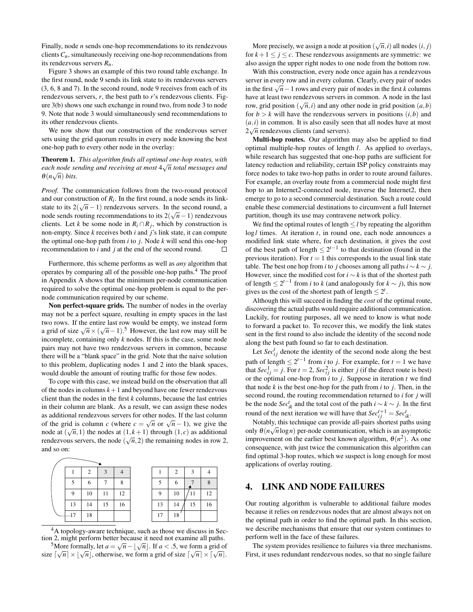Finally, node *n* sends one-hop recommendations to its rendezvous clients  $C_n$ , simultaneously receiving one-hop recommendations from its rendezvous servers *Rn*.

Figure [3](#page-2-4) shows an example of this two round table exchange. In the first round, node 9 sends its link state to its rendezvous servers (3, 6, 8 and 7). In the second round, node 9 receives from each of its rendezvous servers, *r*, the best path to *r*'s rendezvous clients. Figure [3\(](#page-2-4)b) shows one such exchange in round two, from node 3 to node 9. Note that node 3 would simultaneously send recommendations to its other rendezvous clients.

We now show that our construction of the rendezvous server sets using the grid quorum results in every node knowing the best one-hop path to every other node in the overlay:

#### Theorem 1. *This algorithm finds all optimal one-hop routes, with each node sending and receiving at most* 4 √ *n total messages and*  $\theta(n\sqrt{n})$  *bits.*

*Proof.* The communication follows from the two-round protocol and our construction of  $R_i$ . In the first round, a node sends its linkstate to its  $2(\sqrt{n}-1)$  rendezvous servers. In the second round, a node sends routing recommendations to its  $2(\sqrt{n}-1)$  rendezvous clients. Let *k* be some node in  $R_i \cap R_j$ , which by construction is non-empty. Since *k* receives both *i* and *j*'s link state, it can compute the optimal one-hop path from *i* to *j*. Node *k* will send this one-hop recommendation to *i* and *j* at the end of the second round.  $\Box$ 

Furthermore, this scheme performs as well as *any* algorithm that operates by comparing all of the possible one-hop paths.[4](#page-3-1) The proof in Appendix [A](#page-10-3) shows that the minimum per-node communication required to solve the optimal one-hop problem is equal to the pernode communication required by our scheme.

Non perfect-square grids. The number of nodes in the overlay may not be a perfect square, resulting in empty spaces in the last two rows. If the entire last row would be empty, we instead form a grid of size  $\sqrt{n} \times (\sqrt{n}-1)$ .<sup>[5](#page-3-2)</sup> However, the last row may still be incomplete, containing only *k* nodes. If this is the case, some node pairs may not have two rendezvous servers in common, because there will be a "blank space" in the grid. Note that the naive solution to this problem, duplicating nodes 1 and 2 into the blank spaces, would double the amount of routing traffic for those few nodes.

To cope with this case, we instead build on the observation that all of the nodes in columns  $k+1$  and beyond have one fewer rendezvous client than the nodes in the first *k* columns, because the last entries in their column are blank. As a result, we can assign these nodes as additional rendezvous servers for other nodes. If the last column of the grid is column *c* (where  $c = \sqrt{n}$  or  $\sqrt{n} - 1$ ), we give the node at  $(\sqrt{n},1)$  the nodes at  $(1,k+1)$  through  $(1,c)$  as additional rendezvous servers, the node  $(\sqrt{n}, 2)$  the remaining nodes in row 2, and so on:

|    |    | 3  |    |    | 2  | $\mathcal{R}$ |    |
|----|----|----|----|----|----|---------------|----|
|    | h  |    |    |    | n  |               |    |
| 9  | 10 | 11 | 12 | q  | 10 | l I           | 12 |
| 13 | 14 | 15 | 16 | 13 | 14 | 15            | 16 |
|    | 18 |    |    | 17 | 18 |               |    |

<span id="page-3-2"></span><span id="page-3-1"></span><sup>4</sup>A topology-aware technique, such as those we discuss in Section [2,](#page-1-1) might perform better because it need not examine all paths. <sup>5</sup>More formally, let  $a = \sqrt{n} - \lfloor \sqrt{n} \rfloor$ . If  $a < .5$ , we form a grid of size  $\lceil \sqrt{n} \rceil \times \lfloor \sqrt{n} \rfloor$ , otherwise, we form a grid of size  $\lceil \sqrt{n} \rceil \times \lceil \sqrt{n} \rceil$ .

More precisely, we assign a node at position  $(\sqrt{n}, i)$  all nodes  $(i, j)$ for  $k+1 \leq j \leq c$ . These rendezvous assignments are symmetric: we also assign the upper right nodes to one node from the bottom row.

With this construction, every node once again has a rendezvous server in every row and in every column. Clearly, every pair of nodes in the first  $\sqrt{n}$  – 1 rows and every pair of nodes in the first *k* columns have at least two rendezvous servers in common. A node in the last row, grid position  $(\sqrt{n}, i)$  and any other node in grid position  $(a, b)$ for  $b > k$  will have the rendezvous servers in positions  $(i, b)$  and  $(a, i)$  in common. It is also easily seen that all nodes have at most  $2\sqrt{n}$  rendezvous clients (and servers).

Multi-hop routes. Our algorithm may also be applied to find optimal multiple-hop routes of length *l*. As applied to overlays, while research has suggested that one-hop paths are sufficient for latency reduction and reliability, certain ISP policy constraints may force nodes to take two-hop paths in order to route around failures. For example, an overlay route from a commercial node might first hop to an Internet2-connected node, traverse the Internet2, then emerge to go to a second commercial destination. Such a route could enable these commercial destinations to circumvent a full Internet partition, though its use may contravene network policy.

We find the optimal routes of length ≤ *l* by repeating the algorithm log*l* times. At iteration *t*, in round one, each node announces a modified link state where, for each destination, it gives the cost of the best path of length  $\leq 2^{t-1}$  to that destination (found in the previous iteration). For  $t = 1$  this corresponds to the usual link state table. The best one hop from *i* to *j* chooses among all paths  $i \sim k \sim j$ . However, since the modified cost for  $i \sim k$  is that of the shortest path of length  $\leq 2^{t-1}$  from *i* to *k* (and analogously for *k* ∼ *j*), this now gives us the cost of the shortest path of length  $\leq 2^t$ .

Although this will succeed in finding the *cost* of the optimal route, discovering the actual paths would require additional communication. Luckily, for routing purposes, all we need to know is what node to forward a packet to. To recover this, we modify the link states sent in the first round to also include the identity of the second node along the best path found so far to each destination.

Let  $Sec<sup>t</sup><sub>ij</sub>$  denote the identity of the second node along the best path of length  $\leq 2^{t-1}$  from *i* to *j*. For example, for  $t = 1$  we have that  $Sec_{ij}^1 = j$ . For  $t = 2$ ,  $Sec_{ij}^2$  is either *j* (if the direct route is best) or the optimal one-hop from *i* to *j*. Suppose in iteration *t* we find that node *k* is the best one-hop for the path from *i* to *j*. Then, in the second round, the routing recommendation returned to *i* for *j* will be the node  $Sec^t_{ik}$  and the total cost of the path  $i \sim k \sim j$ . In the first round of the next iteration we will have that  $Sec^{t+1}_{ij} = Sec^{t}_{ik}$ .

Notably, this technique can provide all-pairs shortest paths using only  $\theta(n\sqrt{n}\log n)$  per-node communication, which is an asymptotic improvement on the earlier best known algorithm,  $\theta(n^2)$ . As one consequence, with just twice the communication this algorithm can find optimal 3-hop routes, which we suspect is long enough for most applications of overlay routing.

## <span id="page-3-0"></span>4. LINK AND NODE FAILURES

Our routing algorithm is vulnerable to additional failure modes because it relies on rendezvous nodes that are almost always not on the optimal path in order to find the optimal path. In this section, we describe mechanisms that ensure that our system continues to perform well in the face of these failures.

The system provides resilience to failures via three mechanisms. First, it uses redundant rendezvous nodes, so that no single failure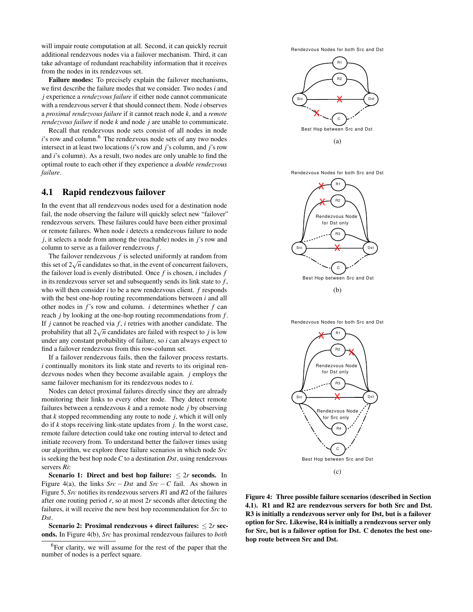will impair route computation at all. Second, it can quickly recruit additional rendezvous nodes via a failover mechanism. Third, it can take advantage of redundant reachability information that it receives from the nodes in its rendezvous set.

Failure modes: To precisely explain the failover mechanisms, we first describe the failure modes that we consider. Two nodes *i* and *j* experience a *rendezvous failure* if either node cannot communicate with a rendezvous server *k* that should connect them. Node *i* observes a *proximal rendezvous failure* if it cannot reach node *k*, and a *remote rendezvous failure* if node *k* and node *j* are unable to communicate.

Recall that rendezvous node sets consist of all nodes in node *i*'s row and column.<sup>[6](#page-4-0)</sup> The rendezvous node sets of any two nodes intersect in at least two locations (*i*'s row and *j*'s column, and *j*'s row and *i*'s column). As a result, two nodes are only unable to find the optimal route to each other if they experience a *double rendezvous failure*.

## <span id="page-4-2"></span>4.1 Rapid rendezvous failover

In the event that all rendezvous nodes used for a destination node fail, the node observing the failure will quickly select new "failover" rendezvous servers. These failures could have been either proximal or remote failures. When node *i* detects a rendezvous failure to node *j*, it selects a node from among the (reachable) nodes in *j*'s row and column to serve as a failover rendezvous *f* .

The failover rendezvous *f* is selected uniformly at random from this set of  $2\sqrt{n}$  candidates so that, in the event of concurrent failovers, the failover load is evenly distributed. Once *f* is chosen, *i* includes *f* in its rendezvous server set and subsequently sends its link state to *f* , who will then consider *i* to be a new rendezvous client. *f* responds with the best one-hop routing recommendations between *i* and all other nodes in *f*'s row and column. *i* determines whether *f* can reach *j* by looking at the one-hop routing recommendations from *f* . If *j* cannot be reached via *f* , *i* retries with another candidate. The probability that all  $2\sqrt{n}$  candidates are failed with respect to *j* is low under any constant probability of failure, so *i* can always expect to find a failover rendezvous from this row-column set.

If a failover rendezvous fails, then the failover process restarts. *i* continually monitors its link state and reverts to its original rendezvous nodes when they become available again. *j* employs the same failover mechanism for its rendezvous nodes to *i*.

Nodes can detect proximal failures directly since they are already monitoring their links to every other node. They detect remote failures between a rendezvous *k* and a remote node *j* by observing that *k* stopped recommending any route to node *j*, which it will only do if *k* stops receiving link-state updates from *j*. In the worst case, remote failure detection could take one routing interval to detect and initiate recovery from. To understand better the failover times using our algorithm, we explore three failure scenarios in which node *Src* is seeking the best hop node *C* to a destination *Dst*, using rendezvous servers *Ri*:

Scenario 1: Direct and best hop failure:  $\leq 2r$  seconds. In Figure [4\(](#page-4-1)a), the links  $Src - Dst$  and  $Src - C$  fail. As shown in Figure [5,](#page-5-0) *Src* notifies its rendezvous servers *R*1 and *R*2 of the failures after one routing period *r*, so at most 2*r* seconds after detecting the failures, it will receive the new best hop recommendation for *Src* to *Dst*.

Scenario 2: Proximal rendezvous + direct failures:  $\leq 2r$  seconds. In Figure [4\(](#page-4-1)b), *Src* has proximal rendezvous failures to *both*

<span id="page-4-0"></span> ${}^{6}$ For clarity, we will assume for the rest of the paper that the number of nodes is a perfect square.





Rendezvous Nodes for both Src and Dst



<span id="page-4-1"></span>

Figure 4: Three possible failure scenarios (described in Section [4.1\)](#page-4-2). R1 and R2 are rendezvous servers for both Src and Dst. R3 is initially a rendezvous server only for Dst, but is a failover option for Src. Likewise, R4 is initially a rendezvous server only for Src, but is a failover option for Dst. C denotes the best onehop route between Src and Dst.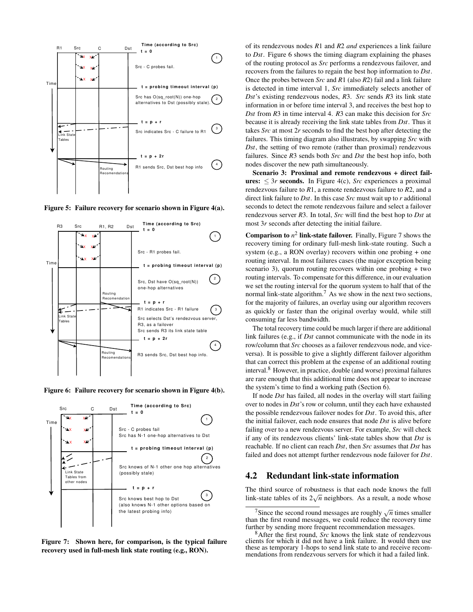

<span id="page-5-0"></span>Figure 5: Failure recovery for scenario shown in Figure [4\(](#page-4-1)a).



<span id="page-5-1"></span>Figure 6: Failure recovery for scenario shown in Figure [4\(](#page-4-1)b).



<span id="page-5-2"></span>Figure 7: Shown here, for comparison, is the typical failure recovery used in full-mesh link state routing (e.g., RON).

of its rendezvous nodes *R*1 and *R*2 *and* experiences a link failure to *Dst*. Figure [6](#page-5-1) shows the timing diagram explaining the phases of the routing protocol as *Src* performs a rendezvous failover, and recovers from the failures to regain the best hop information to *Dst*. Once the probes between *Src* and *R*1 (also *R*2) fail and a link failure is detected in time interval 1, *Src* immediately selects another of *Dst*'s existing rendezvous nodes, *R*3. *Src* sends *R*3 its link state information in or before time interval 3, and receives the best hop to *Dst* from *R*3 in time interval 4. *R*3 can make this decision for *Src* because it is already receiving the link state tables from *Dst*. Thus it takes *Src* at most 2*r* seconds to find the best hop after detecting the failures. This timing diagram also illustrates, by swapping *Src* with *Dst*, the setting of two remote (rather than proximal) rendezvous failures. Since *R*3 sends both *Src* and *Dst* the best hop info, both nodes discover the new path simultaneously.

Scenario 3: Proximal and remote rendezvous + direct failures:  $\leq$  3*r* seconds. In Figure [4\(](#page-4-1)c), *Src* experiences a proximal rendezvous failure to *R*1, a remote rendezvous failure to *R*2, and a direct link failure to *Dst*. In this case *Src* must wait up to *r* additional seconds to detect the remote rendezvous failure and select a failover rendezvous server *R*3. In total, *Src* will find the best hop to *Dst* at most 3*r* seconds after detecting the initial failure.

**Comparison to**  $n^2$  **link-state failover.** Finally, Figure [7](#page-5-2) shows the recovery timing for ordinary full-mesh link-state routing. Such a system (e.g., a RON overlay) recovers within one probing + one routing interval. In most failures cases (the major exception being scenario 3), quorum routing recovers within one probing + two routing intervals. To compensate for this difference, in our evaluation we set the routing interval for the quorum system to half that of the normal link-state algorithm.<sup>[7](#page-5-3)</sup> As we show in the next two sections, for the majority of failures, an overlay using our algorithm recovers as quickly or faster than the original overlay would, while still consuming far less bandwidth.

The total recovery time could be much larger if there are additional link failures (e.g., if *Dst* cannot communicate with the node in its row/column that *Src* chooses as a failover rendezvous node, and viceversa). It is possible to give a slightly different failover algorithm that can correct this problem at the expense of an additional routing interval.[8](#page-5-4) However, in practice, double (and worse) proximal failures are rare enough that this additional time does not appear to increase the system's time to find a working path (Section [6\)](#page-7-0).

If node *Dst* has failed, all nodes in the overlay will start failing over to nodes in *Dst*'s row or column, until they each have exhausted the possible rendezvous failover nodes for *Dst*. To avoid this, after the initial failover, each node ensures that node *Dst* is alive before failing over to a new rendezvous server. For example, *Src* will check if any of its rendezvous clients' link-state tables show that *Dst* is reachable. If no client can reach *Dst*, then *Src* assumes that *Dst* has failed and does not attempt further rendezvous node failover for *Dst*.

#### 4.2 Redundant link-state information

The third source of robustness is that each node knows the full link-state tables of its  $2\sqrt{n}$  neighbors. As a result, a node whose

<span id="page-5-3"></span><sup>&</sup>lt;sup>7</sup>Since the second round messages are roughly  $\sqrt{n}$  times smaller than the first round messages, we could reduce the recovery time further by sending more frequent recommendation messages.

<span id="page-5-4"></span><sup>8</sup>After the first round, *Src* knows the link state of rendezvous clients for which it did not have a link failure. It would then use these as temporary 1-hops to send link state to and receive recommendations from rendezvous servers for which it had a failed link.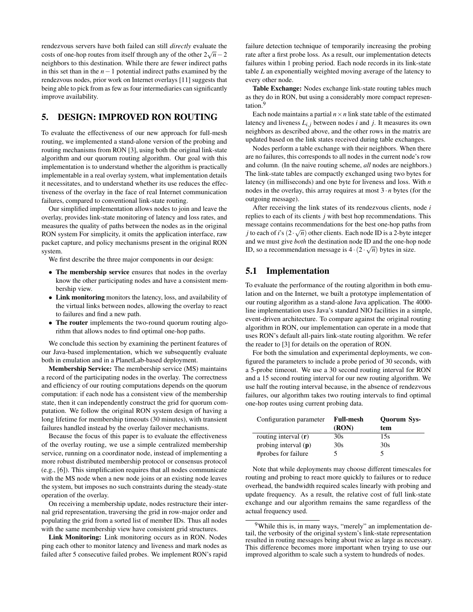rendezvous servers have both failed can still *directly* evaluate the costs of one-hop routes from itself through any of the other  $2\sqrt{n}-2$ neighbors to this destination. While there are fewer indirect paths in this set than in the *n*−1 potential indirect paths examined by the rendezvous nodes, prior work on Internet overlays [\[11\]](#page-11-2) suggests that being able to pick from as few as four intermediaries can significantly improve availability.

# <span id="page-6-0"></span>5. DESIGN: IMPROVED RON ROUTING

To evaluate the effectiveness of our new approach for full-mesh routing, we implemented a stand-alone version of the probing and routing mechanisms from RON [\[3\]](#page-10-0), using both the original link-state algorithm and our quorum routing algorithm. Our goal with this implementation is to understand whether the algorithm is practically implementable in a real overlay system, what implementation details it necessitates, and to understand whether its use reduces the effectiveness of the overlay in the face of real Internet communication failures, compared to conventional link-state routing.

Our simplified implementation allows nodes to join and leave the overlay, provides link-state monitoring of latency and loss rates, and measures the quality of paths between the nodes as in the original RON system For simplicity, it omits the application interface, raw packet capture, and policy mechanisms present in the original RON system.

We first describe the three major components in our design:

- The membership service ensures that nodes in the overlay know the other participating nodes and have a consistent membership view.
- Link monitoring monitors the latency, loss, and availability of the virtual links between nodes, allowing the overlay to react to failures and find a new path.
- The router implements the two-round quorum routing algorithm that allows nodes to find optimal one-hop paths.

We conclude this section by examining the pertinent features of our Java-based implementation, which we subsequently evaluate both in emulation and in a PlanetLab-based deployment.

Membership Service: The membership service (MS) maintains a record of the participating nodes in the overlay. The correctness and efficiency of our routing computations depends on the quorum computation: if each node has a consistent view of the membership state, then it can independently construct the grid for quorum computation. We follow the original RON system design of having a long lifetime for membership timeouts (30 minutes), with transient failures handled instead by the overlay failover mechanisms.

Because the focus of this paper is to evaluate the effectiveness of the overlay routing, we use a simple centralized membership service, running on a coordinator node, instead of implementing a more robust distributed membership protocol or consensus protocol (e.g., [\[6\]](#page-10-7)). This simplification requires that all nodes communicate with the MS node when a new node joins or an existing node leaves the system, but imposes no such constraints during the steady-state operation of the overlay.

On receiving a membership update, nodes restructure their internal grid representation, traversing the grid in row-major order and populating the grid from a sorted list of member IDs. Thus all nodes with the same membership view have consistent grid structures.

Link Monitoring: Link monitoring occurs as in RON. Nodes ping each other to monitor latency and liveness and mark nodes as failed after 5 consecutive failed probes. We implement RON's rapid failure detection technique of temporarily increasing the probing rate after a first probe loss. As a result, our implementation detects failures within 1 probing period. Each node records in its link-state table *L* an exponentially weighted moving average of the latency to every other node.

Table Exchange: Nodes exchange link-state routing tables much as they do in RON, but using a considerably more compact representation.[9](#page-6-1)

Each node maintains a partial  $n \times n$  link state table of the estimated latency and liveness  $L_{i,j}$  between nodes  $i$  and  $j$ . It measures its own neighbors as described above, and the other rows in the matrix are updated based on the link states received during table exchanges.

Nodes perform a table exchange with their neighbors. When there are no failures, this corresponds to all nodes in the current node's row and column. (In the naive routing scheme, *all* nodes are neighbors.) The link-state tables are compactly exchanged using two bytes for latency (in milliseconds) and one byte for liveness and loss. With *n* nodes in the overlay, this array requires at most  $3 \cdot n$  bytes (for the outgoing message).

After receiving the link states of its rendezvous clients, node *i* replies to each of its clients *j* with best hop recommendations. This message contains recommendations for the best one-hop paths from *j* to each of *i*'s  $(2 \cdot \sqrt{n})$  other clients. Each node ID is a 2-byte integer and we must give *both* the destination node ID and the one-hop node ID, so a recommendation message is  $4 \cdot (2 \cdot \sqrt{n})$  bytes in size.

## 5.1 Implementation

To evaluate the performance of the routing algorithm in both emulation and on the Internet, we built a prototype implementation of our routing algorithm as a stand-alone Java application. The 4000 line implementation uses Java's standard NIO facilities in a simple, event-driven architecture. To compare against the original routing algorithm in RON, our implementation can operate in a mode that uses RON's default all-pairs link-state routing algorithm. We refer the reader to [\[3\]](#page-10-0) for details on the operation of RON.

For both the simulation and experimental deployments, we configured the parameters to include a probe period of 30 seconds, with a 5-probe timeout. We use a 30 second routing interval for RON and a 15 second routing interval for our new routing algorithm. We use half the routing interval because, in the absence of rendezvous failures, our algorithm takes two routing intervals to find optimal one-hop routes using current probing data.

| Configuration parameter | <b>Full-mesh</b> | Quorum Sys- |  |  |
|-------------------------|------------------|-------------|--|--|
|                         | (RON)            | tem         |  |  |
| routing interval $(r)$  | 30s              | 15s         |  |  |
| probing interval $(p)$  | 30s              | 30s         |  |  |
| #probes for failure     | ↖                |             |  |  |

Note that while deployments may choose different timescales for routing and probing to react more quickly to failures or to reduce overhead, the bandwidth required scales linearly with probing and update frequency. As a result, the relative cost of full link-state exchange and our algorithm remains the same regardless of the actual frequency used.

<span id="page-6-1"></span><sup>&</sup>lt;sup>9</sup>While this is, in many ways, "merely" an implementation detail, the verbosity of the original system's link-state representation resulted in routing messages being about twice as large as necessary. This difference becomes more important when trying to use our improved algorithm to scale such a system to hundreds of nodes.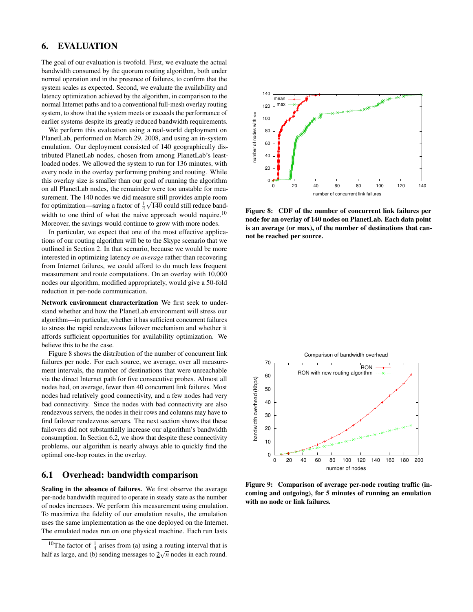# <span id="page-7-0"></span>6. EVALUATION

The goal of our evaluation is twofold. First, we evaluate the actual bandwidth consumed by the quorum routing algorithm, both under normal operation and in the presence of failures, to confirm that the system scales as expected. Second, we evaluate the availability and latency optimization achieved by the algorithm, in comparison to the normal Internet paths and to a conventional full-mesh overlay routing system, to show that the system meets or exceeds the performance of earlier systems despite its greatly reduced bandwidth requirements.

We perform this evaluation using a real-world deployment on PlanetLab, performed on March 29, 2008, and using an in-system emulation. Our deployment consisted of 140 geographically distributed PlanetLab nodes, chosen from among PlanetLab's leastloaded nodes. We allowed the system to run for 136 minutes, with every node in the overlay performing probing and routing. While this overlay size is smaller than our goal of running the algorithm on all PlanetLab nodes, the remainder were too unstable for measurement. The 140 nodes we did measure still provides ample room for optimization—saving a factor of  $\frac{1}{4}\sqrt{140}$  could still reduce band-width to one third of what the naive approach would require.<sup>[10](#page-7-1)</sup> Moreover, the savings would continue to grow with more nodes.

In particular, we expect that one of the most effective applications of our routing algorithm will be to the Skype scenario that we outlined in Section [2.](#page-1-1) In that scenario, because we would be more interested in optimizing latency *on average* rather than recovering from Internet failures, we could afford to do much less frequent measurement and route computations. On an overlay with 10,000 nodes our algorithm, modified appropriately, would give a 50-fold reduction in per-node communication.

Network environment characterization We first seek to understand whether and how the PlanetLab environment will stress our algorithm—in particular, whether it has sufficient concurrent failures to stress the rapid rendezvous failover mechanism and whether it affords sufficient opportunities for availability optimization. We believe this to be the case.

Figure [8](#page-7-2) shows the distribution of the number of concurrent link failures per node. For each source, we average, over all measurement intervals, the number of destinations that were unreachable via the direct Internet path for five consecutive probes. Almost all nodes had, on average, fewer than 40 concurrent link failures. Most nodes had relatively good connectivity, and a few nodes had very bad connectivity. Since the nodes with bad connectivity are also rendezvous servers, the nodes in their rows and columns may have to find failover rendezvous servers. The next section shows that these failovers did not substantially increase our algorithm's bandwidth consumption. In Section [6.2,](#page-8-0) we show that despite these connectivity problems, our algorithm is nearly always able to quickly find the optimal one-hop routes in the overlay.

## 6.1 Overhead: bandwidth comparison

Scaling in the absence of failures. We first observe the average per-node bandwidth required to operate in steady state as the number of nodes increases. We perform this measurement using emulation. To maximize the fidelity of our emulation results, the emulation uses the same implementation as the one deployed on the Internet. The emulated nodes run on one physical machine. Each run lasts

<span id="page-7-1"></span>



<span id="page-7-2"></span>Figure 8: CDF of the number of concurrent link failures per node for an overlay of 140 nodes on PlanetLab. Each data point is an average (or max), of the number of destinations that cannot be reached per source.



<span id="page-7-3"></span>Figure 9: Comparison of average per-node routing traffic (incoming and outgoing), for 5 minutes of running an emulation with no node or link failures.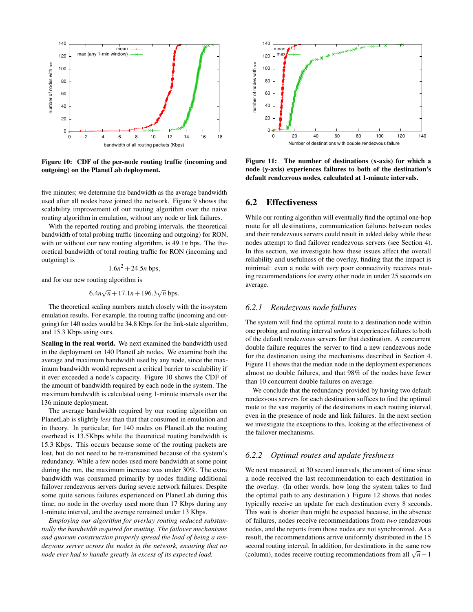

<span id="page-8-1"></span>Figure 10: CDF of the per-node routing traffic (incoming and outgoing) on the PlanetLab deployment.

five minutes; we determine the bandwidth as the average bandwidth used after all nodes have joined the network. Figure [9](#page-7-3) shows the scalability improvement of our routing algorithm over the naive routing algorithm in emulation, without any node or link failures.

With the reported routing and probing intervals, the theoretical bandwidth of total probing traffic (incoming and outgoing) for RON, with or without our new routing algorithm, is 49.1*n* bps. The theoretical bandwidth of total routing traffic for RON (incoming and outgoing) is

$$
1.6n^2 + 24.5n
$$
 bps,

and for our new routing algorithm is

$$
6.4n\sqrt{n} + 17.1n + 196.3\sqrt{n} \text{ bps}.
$$

The theoretical scaling numbers match closely with the in-system emulation results. For example, the routing traffic (incoming and outgoing) for 140 nodes would be 34.8 Kbps for the link-state algorithm, and 15.3 Kbps using ours.

Scaling in the real world. We next examined the bandwidth used in the deployment on 140 PlanetLab nodes. We examine both the average and maximum bandwidth used by any node, since the maximum bandwidth would represent a critical barrier to scalability if it ever exceeded a node's capacity. Figure [10](#page-8-1) shows the CDF of the amount of bandwidth required by each node in the system. The maximum bandwidth is calculated using 1-minute intervals over the 136 minute deployment.

The average bandwidth required by our routing algorithm on PlanetLab is slightly *less* than that that consumed in emulation and in theory. In particular, for 140 nodes on PlanetLab the routing overhead is 13.5Kbps while the theoretical routing bandwidth is 15.3 Kbps. This occurs because some of the routing packets are lost, but do not need to be re-transmitted because of the system's redundancy. While a few nodes used more bandwidth at some point during the run, the maximum increase was under 30%. The extra bandwidth was consumed primarily by nodes finding additional failover rendezvous servers during severe network failures. Despite some quite serious failures experienced on PlanetLab during this time, no node in the overlay used more than 17 Kbps during any 1-minute interval, and the average remained under 13 Kbps.

*Employing our algorithm for overlay routing reduced substantially the bandwidth required for routing. The failover mechanisms and quorum construction properly spread the load of being a rendezvous server across the nodes in the network, ensuring that no node ever had to handle greatly in excess of its expected load.*



<span id="page-8-2"></span>Figure 11: The number of destinations (x-axis) for which a node (y-axis) experiences failures to both of the destination's default rendezvous nodes, calculated at 1-minute intervals.

## <span id="page-8-0"></span>6.2 Effectiveness

While our routing algorithm will eventually find the optimal one-hop route for all destinations, communication failures between nodes and their rendezvous servers could result in added delay while these nodes attempt to find failover rendezvous servers (see Section [4\)](#page-3-0). In this section, we investigate how these issues affect the overall reliability and usefulness of the overlay, finding that the impact is minimal: even a node with *very* poor connectivity receives routing recommendations for every other node in under 25 seconds on average.

#### *6.2.1 Rendezvous node failures*

The system will find the optimal route to a destination node within one probing and routing interval *unless* it experiences failures to both of the default rendezvous servers for that destination. A concurrent double failure requires the server to find a new rendezvous node for the destination using the mechanisms described in Section [4.](#page-3-0) Figure [11](#page-8-2) shows that the median node in the deployment experiences almost no double failures, and that 98% of the nodes have fewer than 10 concurrent double failures on average.

We conclude that the redundancy provided by having two default rendezvous servers for each destination suffices to find the optimal route to the vast majority of the destinations in each routing interval, even in the presence of node and link failures. In the next section we investigate the exceptions to this, looking at the effectiveness of the failover mechanisms.

#### *6.2.2 Optimal routes and update freshness*

We next measured, at 30 second intervals, the amount of time since a node received the last recommendation to each destination in the overlay. (In other words, how long the system takes to find the optimal path to any destination.) Figure [12](#page-9-0) shows that nodes typically receive an update for each destination every 8 seconds. This wait is shorter than might be expected because, in the absence of failures, nodes receive recommendations from *two* rendezvous nodes, and the reports from those nodes are not synchronized. As a result, the recommendations arrive uniformly distributed in the 15 second routing interval. In addition, for destinations in the same row (column), nodes receive routing recommendations from all  $\sqrt{n}-1$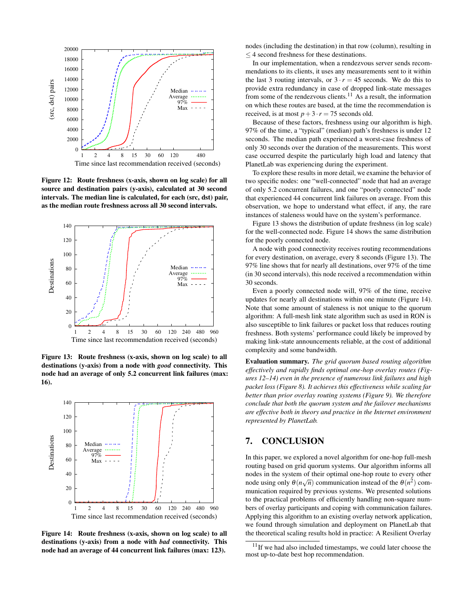

<span id="page-9-0"></span>Figure 12: Route freshness (x-axis, shown on log scale) for all source and destination pairs (y-axis), calculated at 30 second intervals. The median line is calculated, for each (src, dst) pair, as the median route freshness across all 30 second intervals.



<span id="page-9-2"></span>Figure 13: Route freshness (x-axis, shown on log scale) to all destinations (y-axis) from a node with *good* connectivity. This node had an average of only 5.2 concurrent link failures (max: 16).



<span id="page-9-3"></span>Figure 14: Route freshness (x-axis, shown on log scale) to all destinations (y-axis) from a node with *bad* connectivity. This node had an average of 44 concurrent link failures (max: 123).

nodes (including the destination) in that row (column), resulting in  $\leq$  4 second freshness for these destinations.

In our implementation, when a rendezvous server sends recommendations to its clients, it uses any measurements sent to it within the last 3 routing intervals, or  $3 \cdot r = 45$  seconds. We do this to provide extra redundancy in case of dropped link-state messages from some of the rendezvous clients.<sup>[11](#page-9-1)</sup> As a result, the information on which these routes are based, at the time the recommendation is received, is at most  $p+3 \cdot r = 75$  seconds old.

Because of these factors, freshness using our algorithm is high. 97% of the time, a "typical" (median) path's freshness is under 12 seconds. The median path experienced a worst-case freshness of only 30 seconds over the duration of the measurements. This worst case occurred despite the particularly high load and latency that PlanetLab was experiencing during the experiment.

To explore these results in more detail, we examine the behavior of two specific nodes: one "well-connected" node that had an average of only 5.2 concurrent failures, and one "poorly connected" node that experienced 44 concurrent link failures on average. From this observation, we hope to understand what effect, if any, the rare instances of staleness would have on the system's performance.

Figure [13](#page-9-2) shows the distribution of update freshness (in log scale) for the well-connected node. Figure [14](#page-9-3) shows the same distribution for the poorly connected node.

A node with good connectivity receives routing recommendations for every destination, on average, every 8 seconds (Figure [13\)](#page-9-2). The 97% line shows that for nearly all destinations, over 97% of the time (in 30 second intervals), this node received a recommendation within 30 seconds.

Even a poorly connected node will, 97% of the time, receive updates for nearly all destinations within one minute (Figure [14\)](#page-9-3). Note that some amount of staleness is not unique to the quorum algorithm: A full-mesh link state algorithm such as used in RON is also susceptible to link failures or packet loss that reduces routing freshness. Both systems' performance could likely be improved by making link-state announcements reliable, at the cost of additional complexity and some bandwidth.

Evaluation summary. *The grid quorum based routing algorithm effectively and rapidly finds optimal one-hop overlay routes (Figures [12](#page-9-0)[–14\)](#page-9-3) even in the presence of numerous link failures and high packet loss (Figure [8\)](#page-7-2). It achieves this effectiveness while scaling far better than prior overlay routing systems (Figure [9\)](#page-7-3). We therefore conclude that both the quorum system and the failover mechanisms are effective both in theory and practice in the Internet environment represented by PlanetLab.*

# 7. CONCLUSION

In this paper, we explored a novel algorithm for one-hop full-mesh routing based on grid quorum systems. Our algorithm informs all nodes in the system of their optimal one-hop route to every other node using only  $\theta(n\sqrt{n})$  communication instead of the  $\theta(n^2)$  communication required by previous systems. We presented solutions to the practical problems of efficiently handling non-square numbers of overlay participants and coping with communication failures. Applying this algorithm to an existing overlay network application, we found through simulation and deployment on PlanetLab that the theoretical scaling results hold in practice: A Resilient Overlay

<span id="page-9-1"></span> $11$ If we had also included timestamps, we could later choose the most up-to-date best hop recommendation.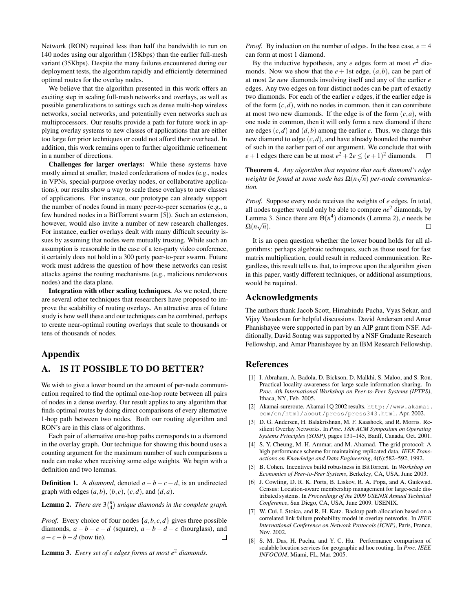Network (RON) required less than half the bandwidth to run on 140 nodes using our algorithm (15Kbps) than the earlier full-mesh variant (35Kbps). Despite the many failures encountered during our deployment tests, the algorithm rapidly and efficiently determined optimal routes for the overlay nodes.

We believe that the algorithm presented in this work offers an exciting step in scaling full-mesh networks and overlays, as well as possible generalizations to settings such as dense multi-hop wireless networks, social networks, and potentially even networks such as multiprocessors. Our results provide a path for future work in applying overlay systems to new classes of applications that are either too large for prior techniques or could not afford their overhead. In addition, this work remains open to further algorithmic refinement in a number of directions.

Challenges for larger overlays: While these systems have mostly aimed at smaller, trusted confederations of nodes (e.g., nodes in VPNs, special-purpose overlay nodes, or collaborative applications), our results show a way to scale these overlays to new classes of applications. For instance, our prototype can already support the number of nodes found in many peer-to-peer scenarios (e.g., a few hundred nodes in a BitTorrent swarm [\[5\]](#page-10-8)). Such an extension, however, would also invite a number of new research challenges. For instance, earlier overlays dealt with many difficult security issues by assuming that nodes were mutually trusting. While such an assumption is reasonable in the case of a ten-party video conference, it certainly does not hold in a 300 party peer-to-peer swarm. Future work must address the question of how these networks can resist attacks against the routing mechanisms (e.g., malicious rendezvous nodes) and the data plane.

Integration with other scaling techniques. As we noted, there are several other techniques that researchers have proposed to improve the scalability of routing overlays. An attractive area of future study is how well these and our techniques can be combined, perhaps to create near-optimal routing overlays that scale to thousands or tens of thousands of nodes.

## Appendix

# <span id="page-10-3"></span>A. IS IT POSSIBLE TO DO BETTER?

We wish to give a lower bound on the amount of per-node communication required to find the optimal one-hop route between all pairs of nodes in a dense overlay. Our result applies to any algorithm that finds optimal routes by doing direct comparisons of every alternative 1-hop path between two nodes. Both our routing algorithm and RON's are in this class of algorithms.

Each pair of alternative one-hop paths corresponds to a diamond in the overlay graph. Our technique for showing this bound uses a counting argument for the maximum number of such comparisons a node can make when receiving some edge weights. We begin with a definition and two lemmas.

**Definition 1.** A *diamond*, denoted  $a - b - c - d$ , is an undirected graph with edges  $(a,b)$ ,  $(b,c)$ ,  $(c,d)$ , and  $(d,a)$ .

<span id="page-10-10"></span>**Lemma 2.** *There are*  $3\binom{n}{4}$  *unique diamonds in the complete graph.* 

*Proof.* Every choice of four nodes  $\{a, b, c, d\}$  gives three possible diamonds,  $a - b - c - d$  (square),  $a - b - d - c$  (hourglass), and  $a - c - b - d$  (bow tie). □ *a*−*c*−*b*−*d* (bow tie).

<span id="page-10-9"></span>Lemma 3. *Every set of e edges forms at most e*<sup>2</sup> *diamonds.*

*Proof.* By induction on the number of edges. In the base case,  $e = 4$ can form at most 1 diamond.

By the inductive hypothesis, any *e* edges form at most *e* <sup>2</sup> diamonds. Now we show that the  $e + 1$ st edge,  $(a, b)$ , can be part of at most 2*e new* diamonds involving itself and any of the earlier *e* edges. Any two edges on four distinct nodes can be part of exactly two diamonds. For each of the earlier *e* edges, if the earlier edge is of the form  $(c, d)$ , with no nodes in common, then it can contribute at most two new diamonds. If the edge is of the form  $(c, a)$ , with one node in common, then it will only form a new diamond if there are edges  $(c,d)$  and  $(d,b)$  among the earlier  $e$ . Thus, we charge this new diamond to edge (*c*,*d*), and have already bounded the number of such in the earlier part of our argument. We conclude that with  $e+1$  edges there can be at most  $e^2+2e \le (e+1)^2$  diamonds.

Theorem 4. *Any algorithm that requires that each diamond's edge weights be found at some node has* Ω(*n* √ *n*) *per-node communication.*

*Proof.* Suppose every node receives the weights of *e* edges. In total, all nodes together would only be able to compare *ne*<sup>2</sup> diamonds, by Lemma [3.](#page-10-9) Since there are  $\Theta(n^4)$  diamonds (Lemma [2\)](#page-10-10), *e* needs be  $\Omega(n\sqrt{n}).$  $\Box$ 

It is an open question whether the lower bound holds for all algorithms: perhaps algebraic techniques, such as those used for fast matrix multiplication, could result in reduced communication. Regardless, this result tells us that, to improve upon the algorithm given in this paper, vastly different techniques, or additional assumptions, would be required.

## Acknowledgments

The authors thank Jacob Scott, Himabindu Pucha, Vyas Sekar, and Vijay Vasudevan for helpful discussions. David Andersen and Amar Phanishayee were supported in part by an AIP grant from NSF. Additionally, David Sontag was supported by a NSF Graduate Research Fellowship, and Amar Phanishayee by an IBM Research Fellowship.

#### References

- <span id="page-10-5"></span>[1] I. Abraham, A. Badola, D. Bickson, D. Malkhi, S. Maloo, and S. Ron. Practical locality-awareness for large scale information sharing. In *Proc. 4th International Workshop on Peer-to-Peer Systems (IPTPS)*, Ithaca, NY, Feb. 2005.
- <span id="page-10-4"></span>[2] Akamai-sureroute. Akamai 1Q 2002 results. [http://www.akamai.](http://www.akamai.com/en/html/about/press/press343.html) [com/en/html/about/press/press343.html](http://www.akamai.com/en/html/about/press/press343.html), Apr. 2002.
- <span id="page-10-0"></span>[3] D. G. Andersen, H. Balakrishnan, M. F. Kaashoek, and R. Morris. Resilient Overlay Networks. In *Proc. 18th ACM Symposium on Operating Systems Principles (SOSP)*, pages 131–145, Banff, Canada, Oct. 2001.
- <span id="page-10-2"></span>[4] S. Y. Cheung, M. H. Ammar, and M. Ahamad. The grid protocol: A high performance scheme for maintaining replicated data. *IEEE Transactions on Knowledge and Data Engineering*, 4(6):582–592, 1992.
- <span id="page-10-8"></span>[5] B. Cohen. Incentives build robustness in BitTorrent. In *Workshop on Economics of Peer-to-Peer Systems*, Berkeley, CA, USA, June 2003.
- <span id="page-10-7"></span>[6] J. Cowling, D. R. K. Ports, B. Liskov, R. A. Popa, and A. Gaikwad. Census: Location-aware membership management for large-scale distributed systems. In *Proceedings of the 2009 USENIX Annual Technical Conference*, San Diego, CA, USA, June 2009. USENIX.
- <span id="page-10-1"></span>[7] W. Cui, I. Stoica, and R. H. Katz. Backup path allocation based on a correlated link failure probability model in overlay networks. In *IEEE International Conference on Network Protocols (ICNP)*, Paris, France, Nov. 2002.
- <span id="page-10-6"></span>[8] S. M. Das, H. Pucha, and Y. C. Hu. Performance comparison of scalable location services for geographic ad hoc routing. In *Proc. IEEE INFOCOM*, Miami, FL, Mar. 2005.